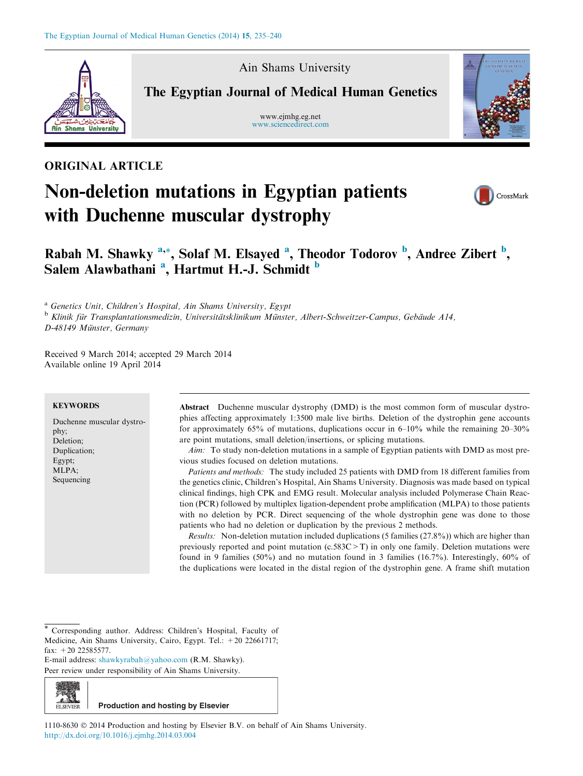

Ain Shams University

The Egyptian Journal of Medical Human Genetics

www.ejmhg.eg.net [www.sciencedirect.com](http://www.sciencedirect.com/science/journal/11108630)



### ORIGINAL ARTICLE

# Non-deletion mutations in Egyptian patients with Duchenne muscular dystrophy



## Rabah M. Shawky <sup>a,\*</sup>, Solaf M. Elsayed <sup>a</sup>, Theodor Todorov <sup>b</sup>, Andree Zibert <sup>b</sup>, Salem Alawbathani<sup>a</sup>, Hartmut H.-J. Schmidt <sup>b</sup>

<sup>a</sup> Genetics Unit, Children's Hospital, Ain Shams University, Egypt

<sup>b</sup> Klinik für Transplantationsmedizin, Universitätsklinikum Münster, Albert-Schweitzer-Campus, Gebäude A14,

D-48149 Münster, Germany

Received 9 March 2014; accepted 29 March 2014 Available online 19 April 2014

#### **KEYWORDS**

Duchenne muscular dystrophy; Deletion; Duplication; Egypt; MLPA; Sequencing

Abstract Duchenne muscular dystrophy (DMD) is the most common form of muscular dystrophies affecting approximately 1:3500 male live births. Deletion of the dystrophin gene accounts for approximately 65% of mutations, duplications occur in  $6-10\%$  while the remaining 20–30% are point mutations, small deletion/insertions, or splicing mutations.

Aim: To study non-deletion mutations in a sample of Egyptian patients with DMD as most previous studies focused on deletion mutations.

Patients and methods: The study included 25 patients with DMD from 18 different families from the genetics clinic, Children's Hospital, Ain Shams University. Diagnosis was made based on typical clinical findings, high CPK and EMG result. Molecular analysis included Polymerase Chain Reaction (PCR) followed by multiplex ligation-dependent probe amplification (MLPA) to those patients with no deletion by PCR. Direct sequencing of the whole dystrophin gene was done to those patients who had no deletion or duplication by the previous 2 methods.

Results: Non-deletion mutation included duplications (5 families (27.8%)) which are higher than previously reported and point mutation (c.583C>T) in only one family. Deletion mutations were found in 9 families (50%) and no mutation found in 3 families (16.7%). Interestingly, 60% of the duplications were located in the distal region of the dystrophin gene. A frame shift mutation

Corresponding author. Address: Children's Hospital, Faculty of Medicine, Ain Shams University, Cairo, Egypt. Tel.: +20 22661717; fax: +20 22585577.

E-mail address: [shawkyrabah@yahoo.com](mailto:shawkyrabah@yahoo.com) (R.M. Shawky).

Peer review under responsibility of Ain Shams University.



1110-8630  $\odot$  2014 Production and hosting by Elsevier B.V. on behalf of Ain Shams University. <http://dx.doi.org/10.1016/j.ejmhg.2014.03.004>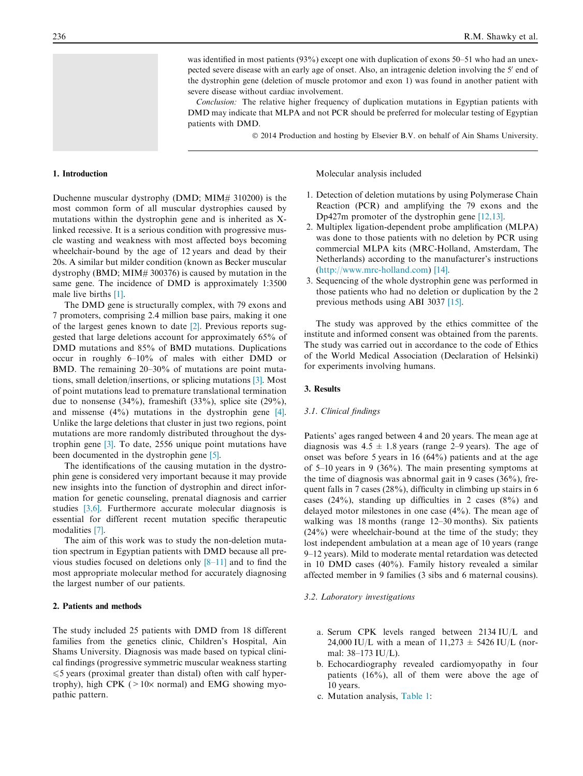was identified in most patients (93%) except one with duplication of exons 50–51 who had an unexpected severe disease with an early age of onset. Also, an intragenic deletion involving the 5' end of the dystrophin gene (deletion of muscle protomor and exon 1) was found in another patient with severe disease without cardiac involvement.

Conclusion: The relative higher frequency of duplication mutations in Egyptian patients with DMD may indicate that MLPA and not PCR should be preferred for molecular testing of Egyptian patients with DMD.

© 2014 Production and hosting by Elsevier B.V. on behalf of Ain Shams University.

#### 1. Introduction

Duchenne muscular dystrophy (DMD; MIM# 310200) is the most common form of all muscular dystrophies caused by mutations within the dystrophin gene and is inherited as Xlinked recessive. It is a serious condition with progressive muscle wasting and weakness with most affected boys becoming wheelchair-bound by the age of 12 years and dead by their 20s. A similar but milder condition (known as Becker muscular dystrophy (BMD; MIM# 300376) is caused by mutation in the same gene. The incidence of DMD is approximately 1:3500 male live births [\[1\].](#page-4-0)

The DMD gene is structurally complex, with 79 exons and 7 promoters, comprising 2.4 million base pairs, making it one of the largest genes known to date [\[2\].](#page-4-0) Previous reports suggested that large deletions account for approximately 65% of DMD mutations and 85% of BMD mutations. Duplications occur in roughly 6–10% of males with either DMD or BMD. The remaining 20–30% of mutations are point mutations, small deletion/insertions, or splicing mutations [\[3\].](#page-4-0) Most of point mutations lead to premature translational termination due to nonsense (34%), frameshift (33%), splice site (29%), and missense (4%) mutations in the dystrophin gene [\[4\]](#page-4-0). Unlike the large deletions that cluster in just two regions, point mutations are more randomly distributed throughout the dystrophin gene [\[3\].](#page-4-0) To date, 2556 unique point mutations have been documented in the dystrophin gene [\[5\].](#page-4-0)

The identifications of the causing mutation in the dystrophin gene is considered very important because it may provide new insights into the function of dystrophin and direct information for genetic counseling, prenatal diagnosis and carrier studies [\[3,6\].](#page-4-0) Furthermore accurate molecular diagnosis is essential for different recent mutation specific therapeutic modalities [\[7\].](#page-4-0)

The aim of this work was to study the non-deletion mutation spectrum in Egyptian patients with DMD because all previous studies focused on deletions only [\[8–11\]](#page-4-0) and to find the most appropriate molecular method for accurately diagnosing the largest number of our patients.

#### 2. Patients and methods

The study included 25 patients with DMD from 18 different families from the genetics clinic, Children's Hospital, Ain Shams University. Diagnosis was made based on typical clinical findings (progressive symmetric muscular weakness starting  $\leq$  5 years (proximal greater than distal) often with calf hypertrophy), high CPK ( $>10\times$  normal) and EMG showing myopathic pattern.

Molecular analysis included

- 1. Detection of deletion mutations by using Polymerase Chain Reaction (PCR) and amplifying the 79 exons and the Dp427m promoter of the dystrophin gene [\[12,13\].](#page-4-0)
- 2. Multiplex ligation-dependent probe amplification (MLPA) was done to those patients with no deletion by PCR using commercial MLPA kits (MRC-Holland, Amsterdam, The Netherlands) according to the manufacturer's instructions [\(http://www.mrc-holland.com\)](http://www.mrc-holland.com) [\[14\]](#page-4-0).
- 3. Sequencing of the whole dystrophin gene was performed in those patients who had no deletion or duplication by the 2 previous methods using ABI 3037 [\[15\].](#page-4-0)

The study was approved by the ethics committee of the institute and informed consent was obtained from the parents. The study was carried out in accordance to the code of Ethics of the World Medical Association (Declaration of Helsinki) for experiments involving humans.

#### 3. Results

#### 3.1. Clinical findings

Patients' ages ranged between 4 and 20 years. The mean age at diagnosis was  $4.5 \pm 1.8$  years (range 2–9 years). The age of onset was before 5 years in 16 (64%) patients and at the age of 5–10 years in 9 (36%). The main presenting symptoms at the time of diagnosis was abnormal gait in 9 cases (36%), frequent falls in 7 cases (28%), difficulty in climbing up stairs in 6 cases (24%), standing up difficulties in 2 cases (8%) and delayed motor milestones in one case (4%). The mean age of walking was 18 months (range 12–30 months). Six patients (24%) were wheelchair-bound at the time of the study; they lost independent ambulation at a mean age of 10 years (range 9–12 years). Mild to moderate mental retardation was detected in 10 DMD cases (40%). Family history revealed a similar affected member in 9 families (3 sibs and 6 maternal cousins).

#### 3.2. Laboratory investigations

- a. Serum CPK levels ranged between 2134 IU/L and 24,000 IU/L with a mean of  $11,273 \pm 5426$  IU/L (normal: 38–173 IU/L).
- b. Echocardiography revealed cardiomyopathy in four patients  $(16\%)$ , all of them were above the age of 10 years.
- c. Mutation analysis, [Table 1](#page-2-0):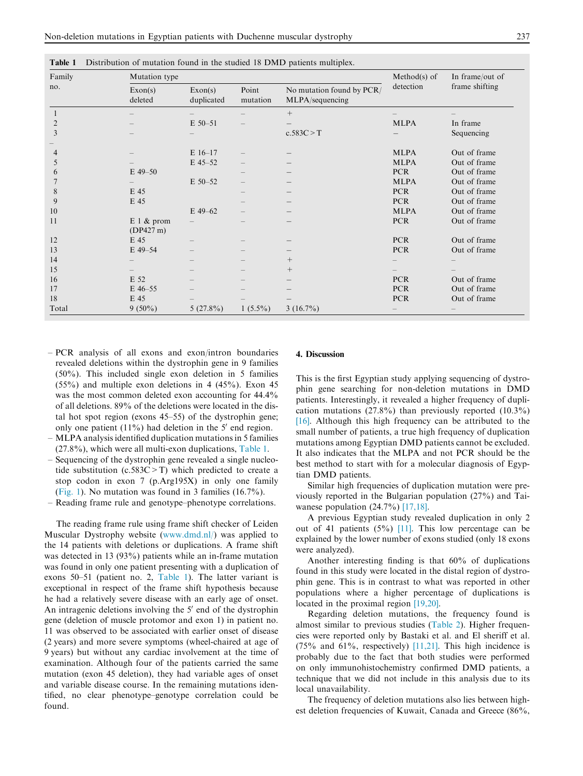| Family<br>no.  | Mutation type            |                       |                                 |                                              | Method(s) of      | In frame/out of |
|----------------|--------------------------|-----------------------|---------------------------------|----------------------------------------------|-------------------|-----------------|
|                | Exon(s)<br>deleted       | Exon(s)<br>duplicated | Point<br>mutation               | No mutation found by PCR/<br>MLPA/sequencing | detection         | frame shifting  |
|                |                          |                       |                                 | $^{+}$                                       |                   |                 |
| $\overline{2}$ |                          | $E$ 50-51             |                                 |                                              | <b>MLPA</b>       | In frame        |
| 3              |                          |                       |                                 | c.583C > T                                   |                   | Sequencing      |
| 4              |                          | $E$ 16-17             |                                 |                                              | <b>MLPA</b>       | Out of frame    |
| 5              |                          | E 45-52               |                                 |                                              | <b>MLPA</b>       | Out of frame    |
| 6              | $E$ 49-50                |                       |                                 |                                              | <b>PCR</b>        | Out of frame    |
|                |                          | $E$ 50-52             | $\hspace{0.1mm}-\hspace{0.1mm}$ |                                              | <b>MLPA</b>       | Out of frame    |
| 8              | E 45                     |                       |                                 |                                              | <b>PCR</b>        | Out of frame    |
| 9              | E 45                     |                       |                                 |                                              | <b>PCR</b>        | Out of frame    |
| 10             |                          | E 49-62               |                                 |                                              | <b>MLPA</b>       | Out of frame    |
| 11             | $E1$ & prom<br>(DP427 m) |                       |                                 |                                              | <b>PCR</b>        | Out of frame    |
| 12             | E 45                     |                       |                                 |                                              | <b>PCR</b>        | Out of frame    |
| 13             | $E$ 49-54                |                       |                                 |                                              | <b>PCR</b>        | Out of frame    |
| 14             |                          |                       |                                 | $^{+}$                                       |                   |                 |
| 15             |                          |                       |                                 | $^{+}$                                       |                   |                 |
| 16             | E 52                     |                       |                                 |                                              | <b>PCR</b>        | Out of frame    |
| 17             | $E$ 46-55                |                       |                                 |                                              | <b>PCR</b>        | Out of frame    |
| 18             | E 45                     |                       |                                 |                                              | <b>PCR</b>        | Out of frame    |
| Total          | $9(50\%)$                | $5(27.8\%)$           | $1(5.5\%)$                      | $3(16.7\%)$                                  | $\qquad \qquad -$ |                 |

<span id="page-2-0"></span>Table 1 Distribution of mutation found in the studied 18 DMD patients multiplex.

- PCR analysis of all exons and exon/intron boundaries revealed deletions within the dystrophin gene in 9 families (50%). This included single exon deletion in 5 families (55%) and multiple exon deletions in 4 (45%). Exon 45 was the most common deleted exon accounting for 44.4% of all deletions. 89% of the deletions were located in the distal hot spot region (exons 45–55) of the dystrophin gene; only one patient  $(11\%)$  had deletion in the 5' end region.
- MLPA analysis identified duplication mutations in 5 families (27.8%), which were all multi-exon duplications, Table 1.
- Sequencing of the dystrophin gene revealed a single nucleotide substitution (c.583C>T) which predicted to create a stop codon in exon 7 (p.Arg195X) in only one family ([Fig. 1](#page-3-0)). No mutation was found in 3 families (16.7%).
- Reading frame rule and genotype–phenotype correlations.

The reading frame rule using frame shift checker of Leiden Muscular Dystrophy website ([www.dmd.nl/](http://www.dmd.nl/)) was applied to the 14 patients with deletions or duplications. A frame shift was detected in 13 (93%) patients while an in-frame mutation was found in only one patient presenting with a duplication of exons 50–51 (patient no. 2, Table 1). The latter variant is exceptional in respect of the frame shift hypothesis because he had a relatively severe disease with an early age of onset. An intragenic deletions involving the  $5'$  end of the dystrophin gene (deletion of muscle protomor and exon 1) in patient no. 11 was observed to be associated with earlier onset of disease (2 years) and more severe symptoms (wheel-chaired at age of 9 years) but without any cardiac involvement at the time of examination. Although four of the patients carried the same mutation (exon 45 deletion), they had variable ages of onset and variable disease course. In the remaining mutations identified, no clear phenotype–genotype correlation could be found.

#### 4. Discussion

This is the first Egyptian study applying sequencing of dystrophin gene searching for non-deletion mutations in DMD patients. Interestingly, it revealed a higher frequency of duplication mutations  $(27.8\%)$  than previously reported  $(10.3\%)$ [\[16\]](#page-4-0). Although this high frequency can be attributed to the small number of patients, a true high frequency of duplication mutations among Egyptian DMD patients cannot be excluded. It also indicates that the MLPA and not PCR should be the best method to start with for a molecular diagnosis of Egyptian DMD patients.

Similar high frequencies of duplication mutation were previously reported in the Bulgarian population (27%) and Taiwanese population  $(24.7%)$  [\[17,18\].](#page-4-0)

A previous Egyptian study revealed duplication in only 2 out of 41 patients  $(5\%)$  [\[11\]](#page-4-0). This low percentage can be explained by the lower number of exons studied (only 18 exons were analyzed).

Another interesting finding is that 60% of duplications found in this study were located in the distal region of dystrophin gene. This is in contrast to what was reported in other populations where a higher percentage of duplications is located in the proximal region [\[19,20\]](#page-4-0).

Regarding deletion mutations, the frequency found is almost similar to previous studies ([Table 2](#page-3-0)). Higher frequencies were reported only by Bastaki et al. and El sheriff et al. (75% and 61%, respectively) [\[11,21\]](#page-4-0). This high incidence is probably due to the fact that both studies were performed on only immunohistochemistry confirmed DMD patients, a technique that we did not include in this analysis due to its local unavailability.

The frequency of deletion mutations also lies between highest deletion frequencies of Kuwait, Canada and Greece (86%,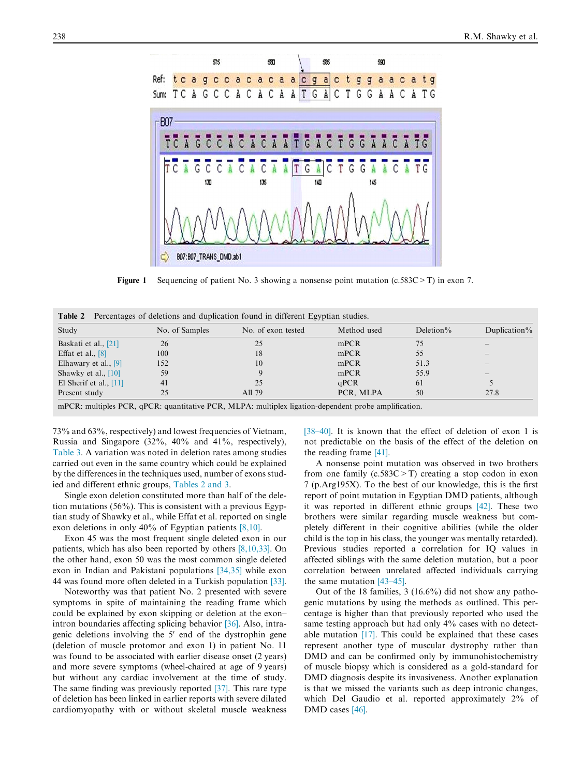<span id="page-3-0"></span>

**Figure 1** Sequencing of patient No. 3 showing a nonsense point mutation  $(c.583C > T)$  in exon 7.

Table 2 Percentages of deletions and duplication found in different Egyptian studies.

| Study                    | No. of Samples | No. of exon tested | Method used | Deletion $%$ | Duplication $\%$ |
|--------------------------|----------------|--------------------|-------------|--------------|------------------|
| Baskati et al., [21]     | 26             | 25                 | mPCR        | 75           |                  |
| Effat et al., $[8]$      | 100            | 18                 | mPCR        | 55           |                  |
| Elhawary et al., $[9]$   | 152            | 10                 | mPCR        | 51.3         |                  |
| Shawky et al., $[10]$    | 59             |                    | mPCR        | 55.9         |                  |
| El Sherif et al., $[11]$ | 41             | 25                 | qPCR        | 61           |                  |
| Present study            | 25             | All 79             | PCR. MLPA   | 50           | 27.8             |

mPCR: multiples PCR, qPCR: quantitative PCR, MLPA: multiplex ligation-dependent probe amplification.

73% and 63%, respectively) and lowest frequencies of Vietnam, Russia and Singapore (32%, 40% and 41%, respectively), [Table 3](#page-4-0). A variation was noted in deletion rates among studies carried out even in the same country which could be explained by the differences in the techniques used, number of exons studied and different ethnic groups, Tables 2 and 3.

Single exon deletion constituted more than half of the deletion mutations (56%). This is consistent with a previous Egyptian study of Shawky et al., while Effat et al. reported on single exon deletions in only 40% of Egyptian patients [\[8,10\].](#page-4-0)

Exon 45 was the most frequent single deleted exon in our patients, which has also been reported by others [\[8,10,33\].](#page-4-0) On the other hand, exon 50 was the most common single deleted exon in Indian and Pakistani populations [\[34,35\]](#page-5-0) while exon 44 was found more often deleted in a Turkish population [\[33\]](#page-5-0).

Noteworthy was that patient No. 2 presented with severe symptoms in spite of maintaining the reading frame which could be explained by exon skipping or deletion at the exon– intron boundaries affecting splicing behavior [\[36\]](#page-5-0). Also, intragenic deletions involving the  $5'$  end of the dystrophin gene (deletion of muscle protomor and exon 1) in patient No. 11 was found to be associated with earlier disease onset (2 years) and more severe symptoms (wheel-chaired at age of 9 years) but without any cardiac involvement at the time of study. The same finding was previously reported [\[37\].](#page-5-0) This rare type of deletion has been linked in earlier reports with severe dilated cardiomyopathy with or without skeletal muscle weakness [\[38–40\]](#page-5-0). It is known that the effect of deletion of exon 1 is not predictable on the basis of the effect of the deletion on the reading frame [\[41\]](#page-5-0).

A nonsense point mutation was observed in two brothers from one family  $(c.583C > T)$  creating a stop codon in exon 7 (p.Arg195X). To the best of our knowledge, this is the first report of point mutation in Egyptian DMD patients, although it was reported in different ethnic groups [\[42\].](#page-5-0) These two brothers were similar regarding muscle weakness but completely different in their cognitive abilities (while the older child is the top in his class, the younger was mentally retarded). Previous studies reported a correlation for IQ values in affected siblings with the same deletion mutation, but a poor correlation between unrelated affected individuals carrying the same mutation [\[43–45\]](#page-5-0).

Out of the 18 families, 3 (16.6%) did not show any pathogenic mutations by using the methods as outlined. This percentage is higher than that previously reported who used the same testing approach but had only 4% cases with no detectable mutation [\[17\]](#page-4-0). This could be explained that these cases represent another type of muscular dystrophy rather than DMD and can be confirmed only by immunohistochemistry of muscle biopsy which is considered as a gold-standard for DMD diagnosis despite its invasiveness. Another explanation is that we missed the variants such as deep intronic changes, which Del Gaudio et al. reported approximately 2% of DMD cases [\[46\]](#page-5-0).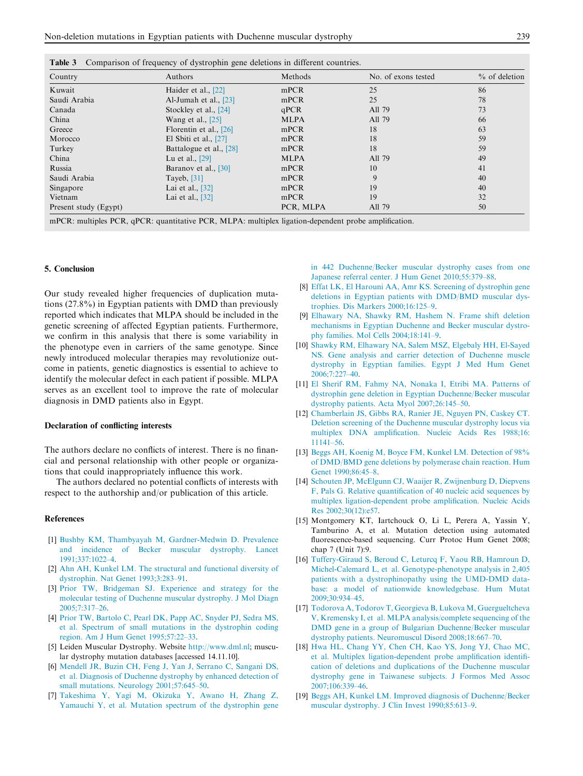<span id="page-4-0"></span>

|  |  | <b>Table 3</b> Comparison of frequency of dystrophin gene deletions in different countries. |
|--|--|---------------------------------------------------------------------------------------------|
|  |  |                                                                                             |

| Country               | Authors                 | Methods     | No. of exons tested | $%$ of deletion |
|-----------------------|-------------------------|-------------|---------------------|-----------------|
| Kuwait                | Haider et al., [22]     | mPCR        | 25                  | 86              |
| Saudi Arabia          | Al-Jumah et al., $[23]$ | mPCR        | 25                  | 78              |
| Canada                | Stockley et al., [24]   | qPCR        | All 79              | 73              |
| China                 | Wang et al., $[25]$     | <b>MLPA</b> | All 79              | 66              |
| Greece                | Florentin et al., [26]  | mPCR        | 18                  | 63              |
| Morocco               | El Sbiti et al., $[27]$ | mPCR        | 18                  | 59              |
| Turkey                | Battalogue et al., [28] | mPCR        | 18                  | 59              |
| China                 | Lu et al., [29]         | <b>MLPA</b> | All 79              | 49              |
| Russia                | Baranov et al., [30]    | mPCR        | 10                  | 41              |
| Saudi Arabia          | Tayeb, $[31]$           | mPCR        | 9                   | 40              |
| Singapore             | Lai et al., [32]        | mPCR        | 19                  | 40              |
| Vietnam               | Lai et al., [32]        | mPCR        | 19                  | 32              |
| Present study (Egypt) |                         | PCR, MLPA   | All 79              | 50              |

mPCR: multiples PCR, qPCR: quantitative PCR, MLPA: multiplex ligation-dependent probe amplification.

#### 5. Conclusion

Our study revealed higher frequencies of duplication mutations (27.8%) in Egyptian patients with DMD than previously reported which indicates that MLPA should be included in the genetic screening of affected Egyptian patients. Furthermore, we confirm in this analysis that there is some variability in the phenotype even in carriers of the same genotype. Since newly introduced molecular therapies may revolutionize outcome in patients, genetic diagnostics is essential to achieve to identify the molecular defect in each patient if possible. MLPA serves as an excellent tool to improve the rate of molecular diagnosis in DMD patients also in Egypt.

#### Declaration of conflicting interests

The authors declare no conflicts of interest. There is no financial and personal relationship with other people or organizations that could inappropriately influence this work.

The authors declared no potential conflicts of interests with respect to the authorship and/or publication of this article.

#### References

- [1] [Bushby KM, Thambyayah M, Gardner-Medwin D. Prevalence](http://refhub.elsevier.com/S1110-8630(14)00053-6/h0005) [and incidence of Becker muscular dystrophy. Lancet](http://refhub.elsevier.com/S1110-8630(14)00053-6/h0005) [1991;337:1022–4.](http://refhub.elsevier.com/S1110-8630(14)00053-6/h0005)
- [2] [Ahn AH, Kunkel LM. The structural and functional diversity of](http://refhub.elsevier.com/S1110-8630(14)00053-6/h0010) [dystrophin. Nat Genet 1993;3:283–91.](http://refhub.elsevier.com/S1110-8630(14)00053-6/h0010)
- [3] [Prior TW, Bridgeman SJ. Experience and strategy for the](http://refhub.elsevier.com/S1110-8630(14)00053-6/h0015) [molecular testing of Duchenne muscular dystrophy. J Mol Diagn](http://refhub.elsevier.com/S1110-8630(14)00053-6/h0015) [2005;7:317–26.](http://refhub.elsevier.com/S1110-8630(14)00053-6/h0015)
- [4] [Prior TW, Bartolo C, Pearl DK, Papp AC, Snyder PJ, Sedra MS,](http://refhub.elsevier.com/S1110-8630(14)00053-6/h0020) [et al. Spectrum of small mutations in the dystrophin coding](http://refhub.elsevier.com/S1110-8630(14)00053-6/h0020) [region. Am J Hum Genet 1995;57:22–33.](http://refhub.elsevier.com/S1110-8630(14)00053-6/h0020)
- [5] Leiden Muscular Dystrophy. Website <http://www.dml.nl>; muscular dystrophy mutation databases [accessed 14.11.10].
- [6] [Mendell JR, Buzin CH, Feng J, Yan J, Serrano C, Sangani DS,](http://refhub.elsevier.com/S1110-8630(14)00053-6/h0030) [et al. Diagnosis of Duchenne dystrophy by enhanced detection of](http://refhub.elsevier.com/S1110-8630(14)00053-6/h0030) [small mutations. Neurology 2001;57:645–50](http://refhub.elsevier.com/S1110-8630(14)00053-6/h0030).
- [7] [Takeshima Y, Yagi M, Okizuka Y, Awano H, Zhang Z,](http://refhub.elsevier.com/S1110-8630(14)00053-6/h0035) [Yamauchi Y, et al. Mutation spectrum of the dystrophin gene](http://refhub.elsevier.com/S1110-8630(14)00053-6/h0035)

[in 442 Duchenne/Becker muscular dystrophy cases from one](http://refhub.elsevier.com/S1110-8630(14)00053-6/h0035) [Japanese referral center. J Hum Genet 2010;55:379–88](http://refhub.elsevier.com/S1110-8630(14)00053-6/h0035).

- [8] [Effat LK, El Harouni AA, Amr KS. Screening of dystrophin gene](http://refhub.elsevier.com/S1110-8630(14)00053-6/h0040) [deletions in Egyptian patients with DMD/BMD muscular dys](http://refhub.elsevier.com/S1110-8630(14)00053-6/h0040)[trophies. Dis Markers 2000;16:125–9](http://refhub.elsevier.com/S1110-8630(14)00053-6/h0040).
- [9] [Elhawary NA, Shawky RM, Hashem N. Frame shift deletion](http://refhub.elsevier.com/S1110-8630(14)00053-6/h0045) [mechanisms in Egyptian Duchenne and Becker muscular dystro](http://refhub.elsevier.com/S1110-8630(14)00053-6/h0045)[phy families. Mol Cells 2004;18:141–9.](http://refhub.elsevier.com/S1110-8630(14)00053-6/h0045)
- [10] [Shawky RM, Elhawary NA, Salem MSZ, Elgebaly HH, El-Sayed](http://refhub.elsevier.com/S1110-8630(14)00053-6/h0050) [NS. Gene analysis and carrier detection of Duchenne muscle](http://refhub.elsevier.com/S1110-8630(14)00053-6/h0050) [dystrophy in Egyptian families. Egypt J Med Hum Genet](http://refhub.elsevier.com/S1110-8630(14)00053-6/h0050) [2006;7:227–40](http://refhub.elsevier.com/S1110-8630(14)00053-6/h0050).
- [11] [El Sherif RM, Fahmy NA, Nonaka I, Etribi MA. Patterns of](http://refhub.elsevier.com/S1110-8630(14)00053-6/h0055) [dystrophin gene deletion in Egyptian Duchenne/Becker muscular](http://refhub.elsevier.com/S1110-8630(14)00053-6/h0055) [dystrophy patients. Acta Myol 2007;26:145–50](http://refhub.elsevier.com/S1110-8630(14)00053-6/h0055).
- [12] [Chamberlain JS, Gibbs RA, Ranier JE, Nguyen PN, Caskey CT.](http://refhub.elsevier.com/S1110-8630(14)00053-6/h0060) [Deletion screening of the Duchenne muscular dystrophy locus via](http://refhub.elsevier.com/S1110-8630(14)00053-6/h0060) [multiplex DNA amplification. Nucleic Acids Res 1988;16:](http://refhub.elsevier.com/S1110-8630(14)00053-6/h0060) [11141–56.](http://refhub.elsevier.com/S1110-8630(14)00053-6/h0060)
- [13] [Beggs AH, Koenig M, Boyce FM, Kunkel LM. Detection of 98%](http://refhub.elsevier.com/S1110-8630(14)00053-6/h0065) [of DMD/BMD gene deletions by polymerase chain reaction. Hum](http://refhub.elsevier.com/S1110-8630(14)00053-6/h0065) [Genet 1990;86:45–8](http://refhub.elsevier.com/S1110-8630(14)00053-6/h0065).
- [14] [Schouten JP, McElgunn CJ, Waaijer R, Zwijnenburg D, Diepvens](http://refhub.elsevier.com/S1110-8630(14)00053-6/h0070) [F, Pals G. Relative quantification of 40 nucleic acid sequences by](http://refhub.elsevier.com/S1110-8630(14)00053-6/h0070) [multiplex ligation-dependent probe amplification. Nucleic Acids](http://refhub.elsevier.com/S1110-8630(14)00053-6/h0070) [Res 2002;30\(12\):e57](http://refhub.elsevier.com/S1110-8630(14)00053-6/h0070).
- [15] Montgomery KT, Iartchouck O, Li L, Perera A, Yassin Y, Tamburino A, et al. Mutation detection using automated fluorescence-based sequencing. Curr Protoc Hum Genet 2008; chap 7 (Unit 7):9.
- [16] [Tuffery-Giraud S, Beroud C, Leturcq F, Yaou RB, Hamroun D,](http://refhub.elsevier.com/S1110-8630(14)00053-6/h0080) [Michel-Calemard L, et al. Genotype-phenotype analysis in 2,405](http://refhub.elsevier.com/S1110-8630(14)00053-6/h0080) [patients with a dystrophinopathy using the UMD-DMD data](http://refhub.elsevier.com/S1110-8630(14)00053-6/h0080)[base: a model of nationwide knowledgebase. Hum Mutat](http://refhub.elsevier.com/S1110-8630(14)00053-6/h0080) [2009;30:934–45.](http://refhub.elsevier.com/S1110-8630(14)00053-6/h0080)
- [17] [Todorova A, Todorov T, Georgieva B, Lukova M, Guergueltcheva](http://refhub.elsevier.com/S1110-8630(14)00053-6/h0085) [V, Kremensky I, et al. MLPA analysis/complete sequencing of the](http://refhub.elsevier.com/S1110-8630(14)00053-6/h0085) [DMD gene in a group of Bulgarian Duchenne/Becker muscular](http://refhub.elsevier.com/S1110-8630(14)00053-6/h0085) [dystrophy patients. Neuromuscul Disord 2008;18:667–70.](http://refhub.elsevier.com/S1110-8630(14)00053-6/h0085)
- [18] [Hwa HL, Chang YY, Chen CH, Kao YS, Jong YJ, Chao MC,](http://refhub.elsevier.com/S1110-8630(14)00053-6/h0090) [et al. Multiplex ligation-dependent probe amplification identifi](http://refhub.elsevier.com/S1110-8630(14)00053-6/h0090)[cation of deletions and duplications of the Duchenne muscular](http://refhub.elsevier.com/S1110-8630(14)00053-6/h0090) [dystrophy gene in Taiwanese subjects. J Formos Med Assoc](http://refhub.elsevier.com/S1110-8630(14)00053-6/h0090) [2007;106:339–46.](http://refhub.elsevier.com/S1110-8630(14)00053-6/h0090)
- [19] [Beggs AH, Kunkel LM. Improved diagnosis of Duchenne/Becker](http://refhub.elsevier.com/S1110-8630(14)00053-6/h0095) [muscular dystrophy. J Clin Invest 1990;85:613–9](http://refhub.elsevier.com/S1110-8630(14)00053-6/h0095).